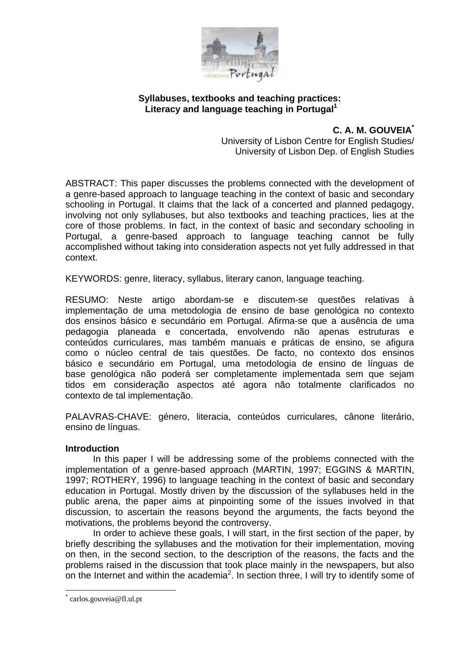

# **Syllabuses, textbooks and teaching practices:**  Literacy and language teaching in Portugal<sup>1</sup>

**C. A. M. GOUVEIA\***

University of Lisbon Centre for English Studies/ University of Lisbon Dep. of English Studies

ABSTRACT: This paper discusses the problems connected with the development of a genre-based approach to language teaching in the context of basic and secondary schooling in Portugal. It claims that the lack of a concerted and planned pedagogy, involving not only syllabuses, but also textbooks and teaching practices, lies at the core of those problems. In fact, in the context of basic and secondary schooling in Portugal, a genre-based approach to language teaching cannot be fully accomplished without taking into consideration aspects not yet fully addressed in that context.

KEYWORDS: genre, literacy, syllabus, literary canon, language teaching.

RESUMO: Neste artigo abordam-se e discutem-se questões relativas à implementação de uma metodologia de ensino de base genológica no contexto dos ensinos básico e secundário em Portugal. Afirma-se que a ausência de uma pedagogia planeada e concertada, envolvendo não apenas estruturas e conteúdos curriculares, mas também manuais e práticas de ensino, se afigura como o núcleo central de tais questões. De facto, no contexto dos ensinos básico e secundário em Portugal, uma metodologia de ensino de línguas de base genológica não poderá ser completamente implementada sem que sejam tidos em consideração aspectos até agora não totalmente clarificados no contexto de tal implementação.

PALAVRAS-CHAVE: género, literacia, conteúdos curriculares, cânone literário, ensino de línguas.

#### **Introduction**

In this paper I will be addressing some of the problems connected with the implementation of a genre-based approach (MARTIN, 1997; EGGINS & MARTIN, 1997; ROTHERY, 1996) to language teaching in the context of basic and secondary education in Portugal. Mostly driven by the discussion of the syllabuses held in the public arena, the paper aims at pinpointing some of the issues involved in that discussion, to ascertain the reasons beyond the arguments, the facts beyond the motivations, the problems beyond the controversy.

In order to achieve these goals, I will start, in the first section of the paper, by briefly describing the syllabuses and the motivation for their implementation, moving on then, in the second section, to the description of the reasons, the facts and the problems raised in the discussion that took place mainly in the newspapers, but also on the Internet and within the academia<sup>2</sup>. In section three, I will try to identify some of

1

<sup>\*</sup> carlos.gouveia@fl.ul.pt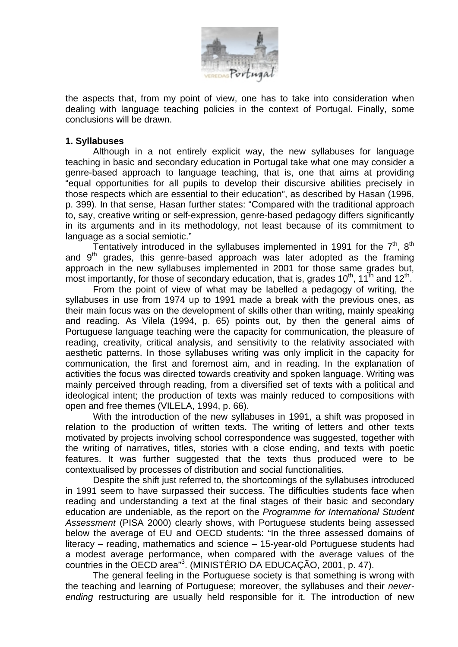

the aspects that, from my point of view, one has to take into consideration when dealing with language teaching policies in the context of Portugal. Finally, some conclusions will be drawn.

### **1. Syllabuses**

Although in a not entirely explicit way, the new syllabuses for language teaching in basic and secondary education in Portugal take what one may consider a genre-based approach to language teaching, that is, one that aims at providing "equal opportunities for all pupils to develop their discursive abilities precisely in those respects which are essential to their education", as described by Hasan (1996, p. 399). In that sense, Hasan further states: "Compared with the traditional approach to, say, creative writing or self-expression, genre-based pedagogy differs significantly in its arguments and in its methodology, not least because of its commitment to language as a social semiotic."

Tentatively introduced in the syllabuses implemented in 1991 for the  $7<sup>th</sup>$ ,  $8<sup>th</sup>$ and  $9<sup>th</sup>$  grades, this genre-based approach was later adopted as the framing approach in the new syllabuses implemented in 2001 for those same grades but, most importantly, for those of secondary education, that is, grades 10<sup>th</sup>, 11<sup>th</sup> and 12<sup>th</sup>.

From the point of view of what may be labelled a pedagogy of writing, the syllabuses in use from 1974 up to 1991 made a break with the previous ones, as their main focus was on the development of skills other than writing, mainly speaking and reading. As Vilela (1994, p. 65) points out, by then the general aims of Portuguese language teaching were the capacity for communication, the pleasure of reading, creativity, critical analysis, and sensitivity to the relativity associated with aesthetic patterns. In those syllabuses writing was only implicit in the capacity for communication, the first and foremost aim, and in reading. In the explanation of activities the focus was directed towards creativity and spoken language. Writing was mainly perceived through reading, from a diversified set of texts with a political and ideological intent; the production of texts was mainly reduced to compositions with open and free themes (VILELA, 1994, p. 66).

With the introduction of the new syllabuses in 1991, a shift was proposed in relation to the production of written texts. The writing of letters and other texts motivated by projects involving school correspondence was suggested, together with the writing of narratives, titles, stories with a close ending, and texts with poetic features. It was further suggested that the texts thus produced were to be contextualised by processes of distribution and social functionalities.

Despite the shift just referred to, the shortcomings of the syllabuses introduced in 1991 seem to have surpassed their success. The difficulties students face when reading and understanding a text at the final stages of their basic and secondary education are undeniable, as the report on the *Programme for International Student Assessment* (PISA 2000) clearly shows, with Portuguese students being assessed below the average of EU and OECD students: "In the three assessed domains of literacy – reading, mathematics and science – 15-year-old Portuguese students had a modest average performance, when compared with the average values of the countries in the OECD area"<sup>3</sup> . (MINISTÉRIO DA EDUCAÇÃO, 2001, p. 47).

The general feeling in the Portuguese society is that something is wrong with the teaching and learning of Portuguese; moreover, the syllabuses and their *neverending* restructuring are usually held responsible for it. The introduction of new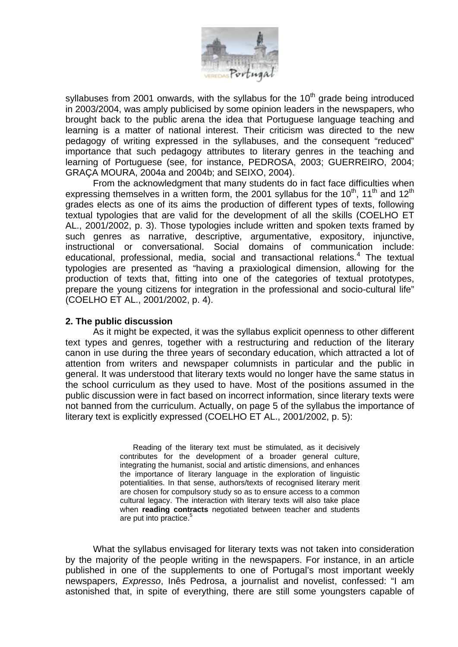

syllabuses from 2001 onwards, with the syllabus for the  $10<sup>th</sup>$  grade being introduced in 2003/2004, was amply publicised by some opinion leaders in the newspapers, who brought back to the public arena the idea that Portuguese language teaching and learning is a matter of national interest. Their criticism was directed to the new pedagogy of writing expressed in the syllabuses, and the consequent "reduced" importance that such pedagogy attributes to literary genres in the teaching and learning of Portuguese (see, for instance, PEDROSA, 2003; GUERREIRO, 2004; GRAÇA MOURA, 2004a and 2004b; and SEIXO, 2004).

From the acknowledgment that many students do in fact face difficulties when expressing themselves in a written form, the 2001 syllabus for the  $10^{th}$ , 11<sup>th</sup> and 12<sup>th</sup> grades elects as one of its aims the production of different types of texts, following textual typologies that are valid for the development of all the skills (COELHO ET AL., 2001/2002, p. 3). Those typologies include written and spoken texts framed by such genres as narrative, descriptive, argumentative, expository, injunctive, instructional or conversational. Social domains of communication include: educational, professional, media, social and transactional relations.<sup>4</sup> The textual typologies are presented as "having a praxiological dimension, allowing for the production of texts that, fitting into one of the categories of textual prototypes, prepare the young citizens for integration in the professional and socio-cultural life" (COELHO ET AL., 2001/2002, p. 4).

## **2. The public discussion**

As it might be expected, it was the syllabus explicit openness to other different text types and genres, together with a restructuring and reduction of the literary canon in use during the three years of secondary education, which attracted a lot of attention from writers and newspaper columnists in particular and the public in general. It was understood that literary texts would no longer have the same status in the school curriculum as they used to have. Most of the positions assumed in the public discussion were in fact based on incorrect information, since literary texts were not banned from the curriculum. Actually, on page 5 of the syllabus the importance of literary text is explicitly expressed (COELHO ET AL., 2001/2002, p. 5):

> Reading of the literary text must be stimulated, as it decisively contributes for the development of a broader general culture, integrating the humanist, social and artistic dimensions, and enhances the importance of literary language in the exploration of linguistic potentialities. In that sense, authors/texts of recognised literary merit are chosen for compulsory study so as to ensure access to a common cultural legacy. The interaction with literary texts will also take place when **reading contracts** negotiated between teacher and students are put into practice.<sup>5</sup>

What the syllabus envisaged for literary texts was not taken into consideration by the majority of the people writing in the newspapers. For instance, in an article published in one of the supplements to one of Portugal's most important weekly newspapers, *Expresso*, Inês Pedrosa, a journalist and novelist, confessed: "I am astonished that, in spite of everything, there are still some youngsters capable of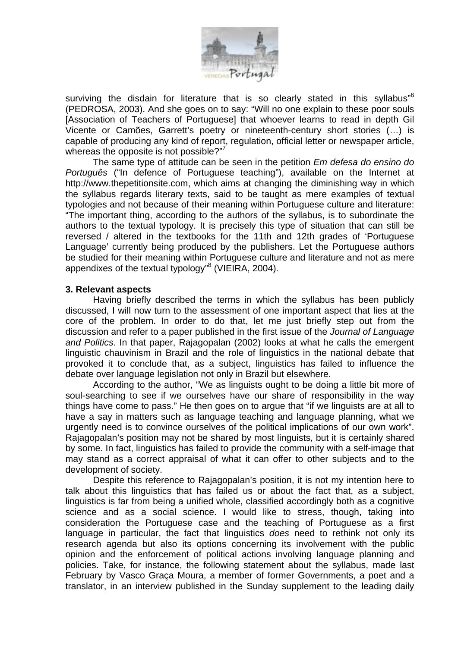

surviving the disdain for literature that is so clearly stated in this syllabus"<sup>6</sup> (PEDROSA, 2003). And she goes on to say: "Will no one explain to these poor souls [Association of Teachers of Portuguese] that whoever learns to read in depth Gil Vicente or Camões, Garrett's poetry or nineteenth-century short stories (…) is capable of producing any kind of report, regulation, official letter or newspaper article, whereas the opposite is not possible?"<sup>7</sup>

The same type of attitude can be seen in the petition *Em defesa do ensino do Português* ("In defence of Portuguese teaching"), available on the Internet at http://www.thepetitionsite.com, which aims at changing the diminishing way in which the syllabus regards literary texts, said to be taught as mere examples of textual typologies and not because of their meaning within Portuguese culture and literature: "The important thing, according to the authors of the syllabus, is to subordinate the authors to the textual typology. It is precisely this type of situation that can still be reversed / altered in the textbooks for the 11th and 12th grades of 'Portuguese Language' currently being produced by the publishers. Let the Portuguese authors be studied for their meaning within Portuguese culture and literature and not as mere appendixes of the textual typology<sup>"8</sup> (VIEIRA, 2004).

## **3. Relevant aspects**

Having briefly described the terms in which the syllabus has been publicly discussed, I will now turn to the assessment of one important aspect that lies at the core of the problem. In order to do that, let me just briefly step out from the discussion and refer to a paper published in the first issue of the *Journal of Language and Politics*. In that paper, Rajagopalan (2002) looks at what he calls the emergent linguistic chauvinism in Brazil and the role of linguistics in the national debate that provoked it to conclude that, as a subject, linguistics has failed to influence the debate over language legislation not only in Brazil but elsewhere.

According to the author, "We as linguists ought to be doing a little bit more of soul-searching to see if we ourselves have our share of responsibility in the way things have come to pass." He then goes on to argue that "if we linguists are at all to have a say in matters such as language teaching and language planning, what we urgently need is to convince ourselves of the political implications of our own work". Rajagopalan's position may not be shared by most linguists, but it is certainly shared by some. In fact, linguistics has failed to provide the community with a self-image that may stand as a correct appraisal of what it can offer to other subjects and to the development of society.

Despite this reference to Rajagopalan's position, it is not my intention here to talk about this linguistics that has failed us or about the fact that, as a subject, linguistics is far from being a unified whole, classified accordingly both as a cognitive science and as a social science. I would like to stress, though, taking into consideration the Portuguese case and the teaching of Portuguese as a first language in particular, the fact that linguistics *does* need to rethink not only its research agenda but also its options concerning its involvement with the public opinion and the enforcement of political actions involving language planning and policies. Take, for instance, the following statement about the syllabus, made last February by Vasco Graça Moura, a member of former Governments, a poet and a translator, in an interview published in the Sunday supplement to the leading daily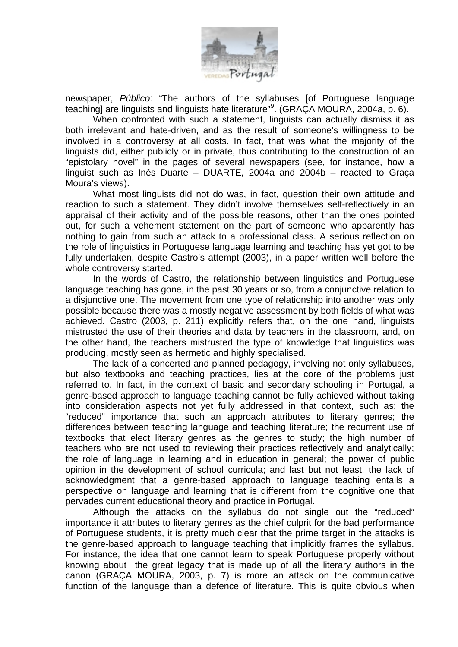

newspaper, *Público*: "The authors of the syllabuses [of Portuguese language teaching] are linguists and linguists hate literature"<sup>9</sup>. (GRACA MOURA, 2004a, p. 6).

When confronted with such a statement, linguists can actually dismiss it as both irrelevant and hate-driven, and as the result of someone's willingness to be involved in a controversy at all costs. In fact, that was what the majority of the linguists did, either publicly or in private, thus contributing to the construction of an "epistolary novel" in the pages of several newspapers (see, for instance, how a linguist such as Inês Duarte – DUARTE, 2004a and 2004b – reacted to Graça Moura's views).

What most linguists did not do was, in fact, question their own attitude and reaction to such a statement. They didn't involve themselves self-reflectively in an appraisal of their activity and of the possible reasons, other than the ones pointed out, for such a vehement statement on the part of someone who apparently has nothing to gain from such an attack to a professional class. A serious reflection on the role of linguistics in Portuguese language learning and teaching has yet got to be fully undertaken, despite Castro's attempt (2003), in a paper written well before the whole controversy started.

In the words of Castro, the relationship between linguistics and Portuguese language teaching has gone, in the past 30 years or so, from a conjunctive relation to a disjunctive one. The movement from one type of relationship into another was only possible because there was a mostly negative assessment by both fields of what was achieved. Castro (2003, p. 211) explicitly refers that, on the one hand, linguists mistrusted the use of their theories and data by teachers in the classroom, and, on the other hand, the teachers mistrusted the type of knowledge that linguistics was producing, mostly seen as hermetic and highly specialised.

The lack of a concerted and planned pedagogy, involving not only syllabuses, but also textbooks and teaching practices, lies at the core of the problems just referred to. In fact, in the context of basic and secondary schooling in Portugal, a genre-based approach to language teaching cannot be fully achieved without taking into consideration aspects not yet fully addressed in that context, such as: the "reduced" importance that such an approach attributes to literary genres; the differences between teaching language and teaching literature; the recurrent use of textbooks that elect literary genres as the genres to study; the high number of teachers who are not used to reviewing their practices reflectively and analytically; the role of language in learning and in education in general; the power of public opinion in the development of school curricula; and last but not least, the lack of acknowledgment that a genre-based approach to language teaching entails a perspective on language and learning that is different from the cognitive one that pervades current educational theory and practice in Portugal.

Although the attacks on the syllabus do not single out the "reduced" importance it attributes to literary genres as the chief culprit for the bad performance of Portuguese students, it is pretty much clear that the prime target in the attacks is the genre-based approach to language teaching that implicitly frames the syllabus. For instance, the idea that one cannot learn to speak Portuguese properly without knowing about the great legacy that is made up of all the literary authors in the canon (GRAÇA MOURA, 2003, p. 7) is more an attack on the communicative function of the language than a defence of literature. This is quite obvious when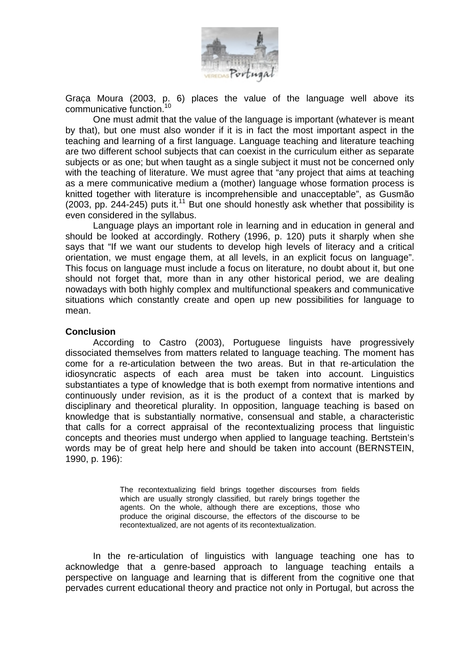

Graça Moura (2003, p. 6) places the value of the language well above its communicative function.<sup>10</sup>

One must admit that the value of the language is important (whatever is meant by that), but one must also wonder if it is in fact the most important aspect in the teaching and learning of a first language. Language teaching and literature teaching are two different school subjects that can coexist in the curriculum either as separate subjects or as one; but when taught as a single subject it must not be concerned only with the teaching of literature. We must agree that "any project that aims at teaching as a mere communicative medium a (mother) language whose formation process is knitted together with literature is incomprehensible and unacceptable", as Gusmão (2003, pp. 244-245) puts it.<sup>11</sup> But one should honestly ask whether that possibility is even considered in the syllabus.

Language plays an important role in learning and in education in general and should be looked at accordingly. Rothery (1996, p. 120) puts it sharply when she says that "If we want our students to develop high levels of literacy and a critical orientation, we must engage them, at all levels, in an explicit focus on language". This focus on language must include a focus on literature, no doubt about it, but one should not forget that, more than in any other historical period, we are dealing nowadays with both highly complex and multifunctional speakers and communicative situations which constantly create and open up new possibilities for language to mean.

#### **Conclusion**

According to Castro (2003), Portuguese linguists have progressively dissociated themselves from matters related to language teaching. The moment has come for a re-articulation between the two areas. But in that re-articulation the idiosyncratic aspects of each area must be taken into account. Linguistics substantiates a type of knowledge that is both exempt from normative intentions and continuously under revision, as it is the product of a context that is marked by disciplinary and theoretical plurality. In opposition, language teaching is based on knowledge that is substantially normative, consensual and stable, a characteristic that calls for a correct appraisal of the recontextualizing process that linguistic concepts and theories must undergo when applied to language teaching. Bertstein's words may be of great help here and should be taken into account (BERNSTEIN, 1990, p. 196):

> The recontextualizing field brings together discourses from fields which are usually strongly classified, but rarely brings together the agents. On the whole, although there are exceptions, those who produce the original discourse, the effectors of the discourse to be recontextualized, are not agents of its recontextualization.

In the re-articulation of linguistics with language teaching one has to acknowledge that a genre-based approach to language teaching entails a perspective on language and learning that is different from the cognitive one that pervades current educational theory and practice not only in Portugal, but across the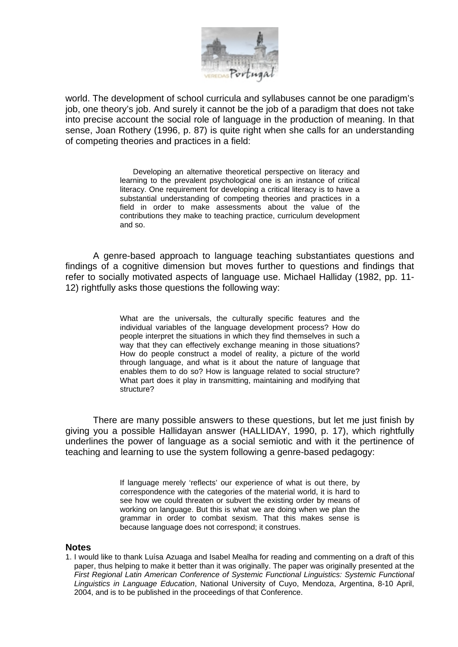

world. The development of school curricula and syllabuses cannot be one paradigm's job, one theory's job. And surely it cannot be the job of a paradigm that does not take into precise account the social role of language in the production of meaning. In that sense, Joan Rothery (1996, p. 87) is quite right when she calls for an understanding of competing theories and practices in a field:

> Developing an alternative theoretical perspective on literacy and learning to the prevalent psychological one is an instance of critical literacy. One requirement for developing a critical literacy is to have a substantial understanding of competing theories and practices in a field in order to make assessments about the value of the contributions they make to teaching practice, curriculum development and so.

A genre-based approach to language teaching substantiates questions and findings of a cognitive dimension but moves further to questions and findings that refer to socially motivated aspects of language use. Michael Halliday (1982, pp. 11- 12) rightfully asks those questions the following way:

> What are the universals, the culturally specific features and the individual variables of the language development process? How do people interpret the situations in which they find themselves in such a way that they can effectively exchange meaning in those situations? How do people construct a model of reality, a picture of the world through language, and what is it about the nature of language that enables them to do so? How is language related to social structure? What part does it play in transmitting, maintaining and modifying that structure?

There are many possible answers to these questions, but let me just finish by giving you a possible Hallidayan answer (HALLIDAY, 1990, p. 17), which rightfully underlines the power of language as a social semiotic and with it the pertinence of teaching and learning to use the system following a genre-based pedagogy:

> If language merely 'reflects' our experience of what is out there, by correspondence with the categories of the material world, it is hard to see how we could threaten or subvert the existing order by means of working on language. But this is what we are doing when we plan the grammar in order to combat sexism. That this makes sense is because language does not correspond; it construes.

#### **Notes**

1. I would like to thank Luísa Azuaga and Isabel Mealha for reading and commenting on a draft of this paper, thus helping to make it better than it was originally. The paper was originally presented at the *First Regional Latin American Conference of Systemic Functional Linguistics: Systemic Functional Linguistics in Language Education*, National University of Cuyo, Mendoza, Argentina, 8-10 April, 2004, and is to be published in the proceedings of that Conference.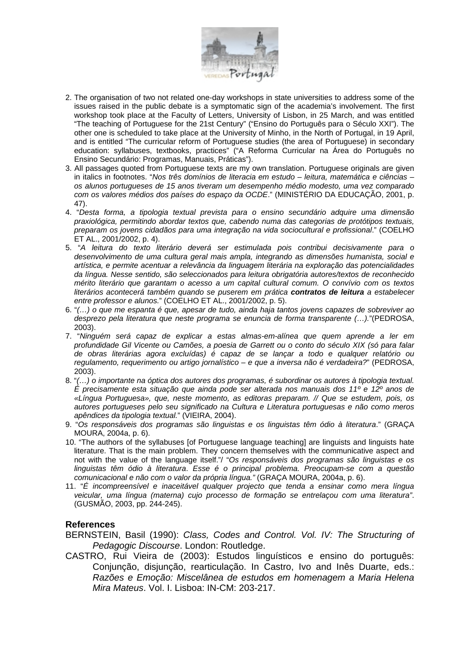

- 2. The organisation of two not related one-day workshops in state universities to address some of the issues raised in the public debate is a symptomatic sign of the academia's involvement. The first workshop took place at the Faculty of Letters, University of Lisbon, in 25 March, and was entitled "The teaching of Portuguese for the 21st Century" ("Ensino do Português para o Século XXI"). The other one is scheduled to take place at the University of Minho, in the North of Portugal, in 19 April, and is entitled "The curricular reform of Portuguese studies (the area of Portuguese) in secondary education: syllabuses, textbooks, practices" ("A Reforma Curricular na Área do Português no Ensino Secundário: Programas, Manuais, Práticas").
- 3. All passages quoted from Portuguese texts are my own translation. Portuguese originals are given in italics in footnotes. "*Nos três domínios de literacia em estudo – leitura, matemática e ciências – os alunos portugueses de 15 anos tiveram um desempenho médio modesto, uma vez comparado com os valores médios dos países do espaço da OCDE*." (MINISTÉRIO DA EDUCAÇÃO, 2001, p. 47).
- 4. "*Desta forma, a tipologia textual prevista para o ensino secundário adquire uma dimensão praxiológica, permitindo abordar textos que, cabendo numa das categorias de protótipos textuais, preparam os jovens cidadãos para uma integração na vida sociocultural e profissional*." (COELHO ET AL., 2001/2002, p. 4).
- 5. "*A leitura do texto literário deverá ser estimulada pois contribui decisivamente para o desenvolvimento de uma cultura geral mais ampla, integrando as dimensões humanista, social e artística, e permite acentuar a relevância da linguagem literária na exploração das potencialidades da língua. Nesse sentido, são seleccionados para leitura obrigatória autores/textos de reconhecido mérito literário que garantam o acesso a um capital cultural comum. O convívio com os textos literários acontecerá também quando se puserem em prática contratos de leitura a estabelecer entre professor e alunos.*" (COELHO ET AL., 2001/2002, p. 5).
- 6. "*(…) o que me espanta é que, apesar de tudo, ainda haja tantos jovens capazes de sobreviver ao desprezo pela literatura que neste programa se enuncia de forma transparente (…).*"(PEDROSA, 2003).
- 7. "*Ninguém será capaz de explicar a estas almas-em-alínea que quem aprende a ler em profundidade Gil Vicente ou Camões, a poesia de Garrett ou o conto do século XIX (só para falar de obras literárias agora excluídas) é capaz de se lançar a todo e qualquer relatório ou regulamento, requerimento ou artigo jornalístico – e que a inversa não é verdadeira?*" (PEDROSA, 2003).
- 8. "*(…) o importante na óptica dos autores dos programas, é subordinar os autores à tipologia textual. É precisamente esta situação que ainda pode ser alterada nos manuais dos 11º e 12º anos de «Língua Portuguesa», que, neste momento, as editoras preparam. // Que se estudem, pois, os autores portugueses pelo seu significado na Cultura e Literatura portuguesas e não como meros apêndices da tipologia textual.*" (VIEIRA, 2004).
- 9. "*Os responsáveis dos programas são linguistas e os linguistas têm ódio à literatura*." (GRAÇA MOURA, 2004a, p. 6).
- 10. "The authors of the syllabuses [of Portuguese language teaching] are linguists and linguists hate literature. That is the main problem. They concern themselves with the communicative aspect and not with the value of the language itself."/ "*Os responsáveis dos programas são linguistas e os linguistas têm ódio à literatura*. *Esse é o principal problema. Preocupam-se com a questão comunicacional e não com o valor da própria língua."* (GRAÇA MOURA, 2004a, p. 6).
- 11. "*É incompreensível e inaceitável qualquer projecto que tenda a ensinar como mera língua veicular, uma língua (materna) cujo processo de formação se entrelaçou com uma literatura"*. (GUSMÃO, 2003, pp. 244-245).

# **References**

- BERNSTEIN, Basil (1990): *Class, Codes and Control. Vol. IV: The Structuring of Pedagogic Discourse*. London: Routledge.
- CASTRO, Rui Vieira de (2003): Estudos linguísticos e ensino do português: Conjunção, disjunção, rearticulação. In Castro, Ivo and Inês Duarte, eds.: *Razões e Emoção: Miscelânea de estudos em homenagem a Maria Helena Mira Mateus*. Vol. I. Lisboa: IN-CM: 203-217.